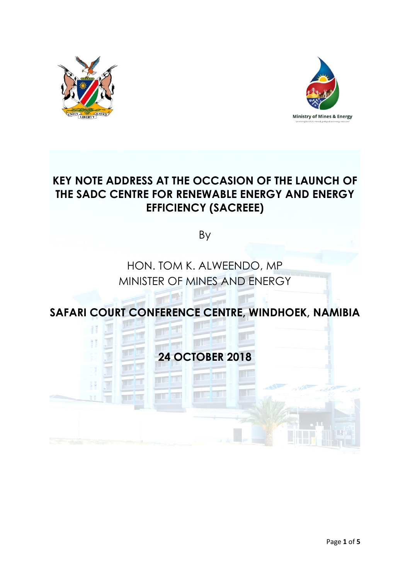



# **KEY NOTE ADDRESS AT THE OCCASION OF THE LAUNCH OF THE SADC CENTRE FOR RENEWABLE ENERGY AND ENERGY EFFICIENCY (SACREEE)**

By

# HON. TOM K. ALWEENDO, MP MINISTER OF MINES AND ENERGY

**SAFARI COURT CONFERENCE CENTRE, WINDHOEK, NAMIBIA**

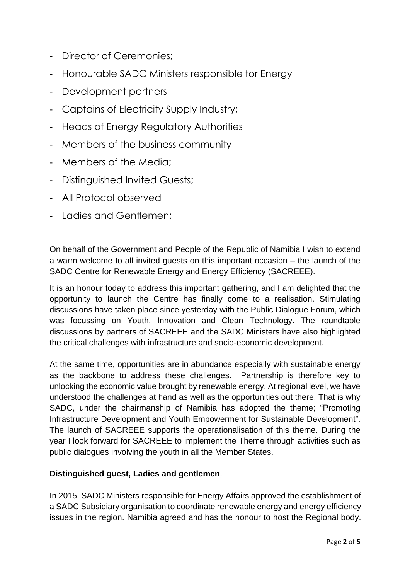- Director of Ceremonies;
- Honourable SADC Ministers responsible for Energy
- Development partners
- Captains of Electricity Supply Industry;
- Heads of Energy Regulatory Authorities
- Members of the business community
- Members of the Media;
- Distinguished Invited Guests;
- All Protocol observed
- Ladies and Gentlemen;

On behalf of the Government and People of the Republic of Namibia I wish to extend a warm welcome to all invited guests on this important occasion – the launch of the SADC Centre for Renewable Energy and Energy Efficiency (SACREEE).

It is an honour today to address this important gathering, and I am delighted that the opportunity to launch the Centre has finally come to a realisation. Stimulating discussions have taken place since yesterday with the Public Dialogue Forum, which was focussing on Youth, Innovation and Clean Technology. The roundtable discussions by partners of SACREEE and the SADC Ministers have also highlighted the critical challenges with infrastructure and socio-economic development.

At the same time, opportunities are in abundance especially with sustainable energy as the backbone to address these challenges. Partnership is therefore key to unlocking the economic value brought by renewable energy. At regional level, we have understood the challenges at hand as well as the opportunities out there. That is why SADC, under the chairmanship of Namibia has adopted the theme; "Promoting Infrastructure Development and Youth Empowerment for Sustainable Development". The launch of SACREEE supports the operationalisation of this theme. During the year I look forward for SACREEE to implement the Theme through activities such as public dialogues involving the youth in all the Member States.

## **Distinguished guest, Ladies and gentlemen**,

In 2015, SADC Ministers responsible for Energy Affairs approved the establishment of a SADC Subsidiary organisation to coordinate renewable energy and energy efficiency issues in the region. Namibia agreed and has the honour to host the Regional body.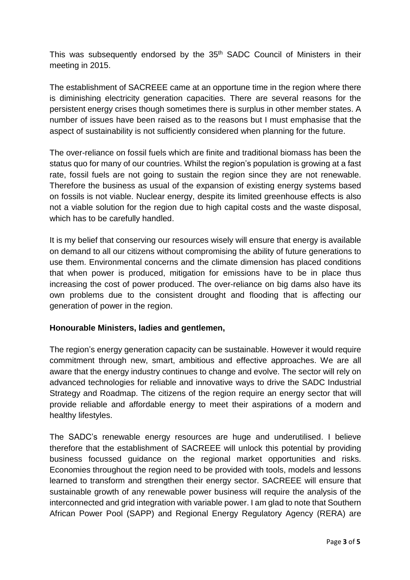This was subsequently endorsed by the 35<sup>th</sup> SADC Council of Ministers in their meeting in 2015.

The establishment of SACREEE came at an opportune time in the region where there is diminishing electricity generation capacities. There are several reasons for the persistent energy crises though sometimes there is surplus in other member states. A number of issues have been raised as to the reasons but I must emphasise that the aspect of sustainability is not sufficiently considered when planning for the future.

The over-reliance on fossil fuels which are finite and traditional biomass has been the status quo for many of our countries. Whilst the region's population is growing at a fast rate, fossil fuels are not going to sustain the region since they are not renewable. Therefore the business as usual of the expansion of existing energy systems based on fossils is not viable. Nuclear energy, despite its limited greenhouse effects is also not a viable solution for the region due to high capital costs and the waste disposal, which has to be carefully handled.

It is my belief that conserving our resources wisely will ensure that energy is available on demand to all our citizens without compromising the ability of future generations to use them. Environmental concerns and the climate dimension has placed conditions that when power is produced, mitigation for emissions have to be in place thus increasing the cost of power produced. The over-reliance on big dams also have its own problems due to the consistent drought and flooding that is affecting our generation of power in the region.

## **Honourable Ministers, ladies and gentlemen,**

The region's energy generation capacity can be sustainable. However it would require commitment through new, smart, ambitious and effective approaches. We are all aware that the energy industry continues to change and evolve. The sector will rely on advanced technologies for reliable and innovative ways to drive the SADC Industrial Strategy and Roadmap. The citizens of the region require an energy sector that will provide reliable and affordable energy to meet their aspirations of a modern and healthy lifestyles.

The SADC's renewable energy resources are huge and underutilised. I believe therefore that the establishment of SACREEE will unlock this potential by providing business focussed guidance on the regional market opportunities and risks. Economies throughout the region need to be provided with tools, models and lessons learned to transform and strengthen their energy sector. SACREEE will ensure that sustainable growth of any renewable power business will require the analysis of the interconnected and grid integration with variable power. I am glad to note that Southern African Power Pool (SAPP) and Regional Energy Regulatory Agency (RERA) are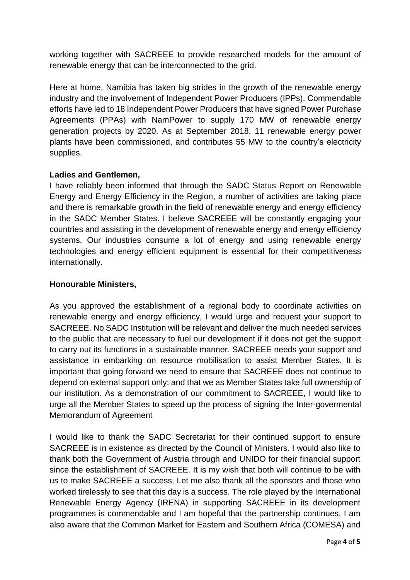working together with SACREEE to provide researched models for the amount of renewable energy that can be interconnected to the grid.

Here at home, Namibia has taken big strides in the growth of the renewable energy industry and the involvement of Independent Power Producers (IPPs). Commendable efforts have led to 18 Independent Power Producers that have signed Power Purchase Agreements (PPAs) with NamPower to supply 170 MW of renewable energy generation projects by 2020. As at September 2018, 11 renewable energy power plants have been commissioned, and contributes 55 MW to the country's electricity supplies.

#### **Ladies and Gentlemen,**

I have reliably been informed that through the SADC Status Report on Renewable Energy and Energy Efficiency in the Region, a number of activities are taking place and there is remarkable growth in the field of renewable energy and energy efficiency in the SADC Member States. I believe SACREEE will be constantly engaging your countries and assisting in the development of renewable energy and energy efficiency systems. Our industries consume a lot of energy and using renewable energy technologies and energy efficient equipment is essential for their competitiveness internationally.

#### **Honourable Ministers,**

As you approved the establishment of a regional body to coordinate activities on renewable energy and energy efficiency, I would urge and request your support to SACREEE. No SADC Institution will be relevant and deliver the much needed services to the public that are necessary to fuel our development if it does not get the support to carry out its functions in a sustainable manner. SACREEE needs your support and assistance in embarking on resource mobilisation to assist Member States. It is important that going forward we need to ensure that SACREEE does not continue to depend on external support only; and that we as Member States take full ownership of our institution. As a demonstration of our commitment to SACREEE, I would like to urge all the Member States to speed up the process of signing the Inter-govermental Memorandum of Agreement

I would like to thank the SADC Secretariat for their continued support to ensure SACREEE is in existence as directed by the Council of Ministers. I would also like to thank both the Government of Austria through and UNIDO for their financial support since the establishment of SACREEE. It is my wish that both will continue to be with us to make SACREEE a success. Let me also thank all the sponsors and those who worked tirelessly to see that this day is a success. The role played by the International Renewable Energy Agency (IRENA) in supporting SACREEE in its development programmes is commendable and I am hopeful that the partnership continues. I am also aware that the Common Market for Eastern and Southern Africa (COMESA) and